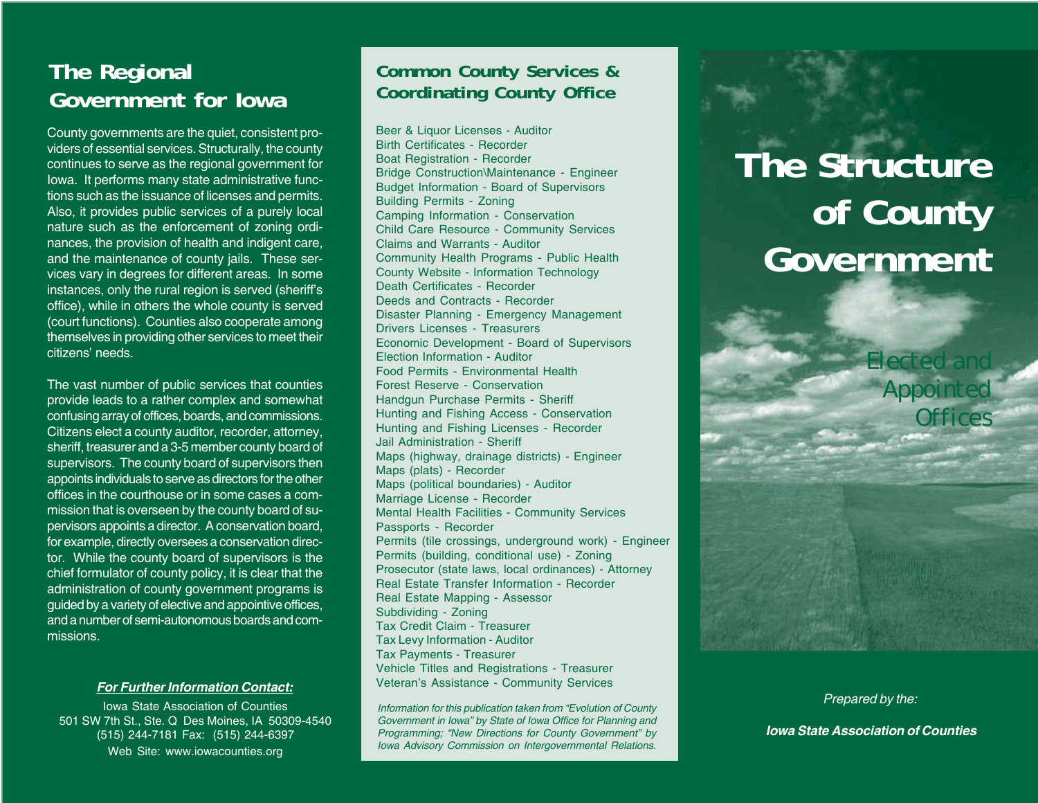# **The Regional Government for Iowa**

County governments are the quiet, consistent providers of essential services. Structurally, the county continues to serve as the regional government for Iowa. It performs many state administrative functions such as the issuance of licenses and permits. Also, it provides public services of a purely local nature such as the enforcement of zoning ordinances, the provision of health and indigent care, and the maintenance of county jails. These services vary in degrees for different areas. In some instances, only the rural region is served (sheriff's office), while in others the whole county is served (court functions). Counties also cooperate among themselves in providing other services to meet their citizens' needs.

The vast number of public services that counties provide leads to a rather complex and somewhat confusing array of offices, boards, and commissions. Citizens elect a county auditor, recorder, attorney, sheriff, treasurer and a 3-5 member county board of supervisors. The county board of supervisors then appoints individuals to serve as directors for the other offices in the courthouse or in some cases a commission that is overseen by the county board of supervisors appoints a director. A conservation board, for example, directly oversees a conservation director. While the county board of supervisors is the chief formulator of county policy, it is clear that the administration of county government programs is guided by a variety of elective and appointive offices, and a number of semi-autonomous boards and commissions.

### *For Further Information Contact:*

Iowa State Association of Counties 501 SW 7th St., Ste. Q Des Moines, IA 50309-4540 (515) 244-7181 Fax: (515) 244-6397 Web Site: www.iowacounties.org

## **Common County Services & Coordinating County Office**

Beer & Liquor Licenses - Auditor Birth Certificates - Recorder Boat Registration - Recorder Bridge Construction\Maintenance - Engineer Budget Information - Board of Supervisors Building Permits - Zoning Camping Information - Conservation Child Care Resource - Community Services Claims and Warrants - Auditor Community Health Programs - Public Health County Website - Information Technology Death Certificates - Recorder Deeds and Contracts - Recorder Disaster Planning - Emergency Management Drivers Licenses - Treasurers Economic Development - Board of Supervisors Election Information - Auditor Food Permits - Environmental Health Forest Reserve - Conservation Handgun Purchase Permits - Sheriff Hunting and Fishing Access - Conservation Hunting and Fishing Licenses - Recorder Jail Administration - Sheriff Maps (highway, drainage districts) - Engineer Maps (plats) - Recorder Maps (political boundaries) - Auditor Marriage License - Recorder Mental Health Facilities - Community Services Passports - Recorder Permits (tile crossings, underground work) - Engineer Permits (building, conditional use) - Zoning Prosecutor (state laws, local ordinances) - Attorney Real Estate Transfer Information - Recorder Real Estate Mapping - Assessor Subdividing - Zoning Tax Credit Claim - Treasurer Tax Levy Information - Auditor Tax Payments - Treasurer Vehicle Titles and Registrations - Treasurer Veteran's Assistance - Community Services

*Information for this publication taken from "Evolution of County Government in Iowa" by State of Iowa Office for Planning and Programming; "New Directions for County Government" by Iowa Advisory Commission on Intergovernmental Relations.*

# **The Structure of County Government**

*Electe* 

*Appointed*

*Offices*

*Prepared by the:*

 *Iowa State Association of Counties*